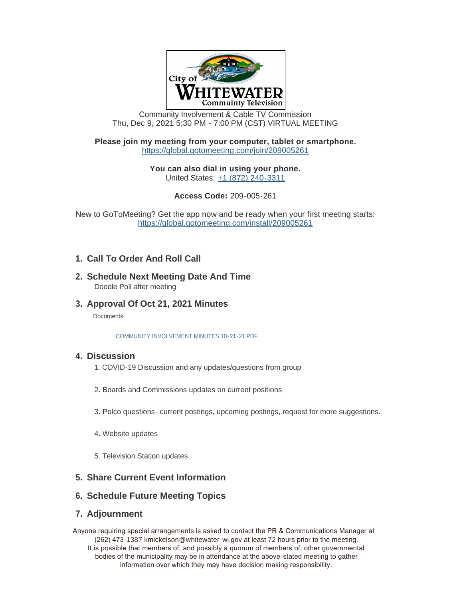

Community Involvement & Cable TV Commission Thu, Dec 9, 2021 5:30 PM - 7:00 PM (CST) VIRTUAL MEETING

#### **Please join my meeting from your computer, tablet or smartphone.** <https://global.gotomeeting.com/join/209005261>

**You can also dial in using your phone.** United States: [+1 \(872\) 240-3311](tel:+18722403311,,209005261#)

**Access Code:** 209-005-261

[New to GoToMeeting? Get the app now and be ready when your fir](https://global.gotomeeting.com/install/209005261)st meeting starts: https://global.gotomeeting.com/install/209005261

# **Call To Order And Roll Call 1.**

- **Schedule Next Meeting Date And Time 2.** Doodle Poll after meeting
- **Approval Of Oct 21, 2021 Minutes 3.**

Documents:

[COMMUNITY INVOLVEMENT MINUTES 10-21-21.PDF](https://www.whitewater-wi.gov/AgendaCenter/ViewFile/Item/5110?fileID=9955)

#### **Discussion 4.**

- 1. COVID-19 Discussion and any updates/questions from group
- 2. Boards and Commissions updates on current positions
- 3. Polco questions- current postings, upcoming postings, request for more suggestions.
- 4. Website updates
- 5. Television Station updates

## **Share Current Event Information 5.**

## **Schedule Future Meeting Topics 6.**

#### **Adjournment 7.**

Anyone requiring special arrangements is asked to contact the PR & Communications Manager at (262) 473-1387 kmickelson@whitewater-wi.gov at least 72 hours prior to the meeting.

It is possible that members of, and possibly a quorum of members of, other governmental bodies of the municipality may be in attendance at the above-stated meeting to gather information over which they may have decision making responsibility.